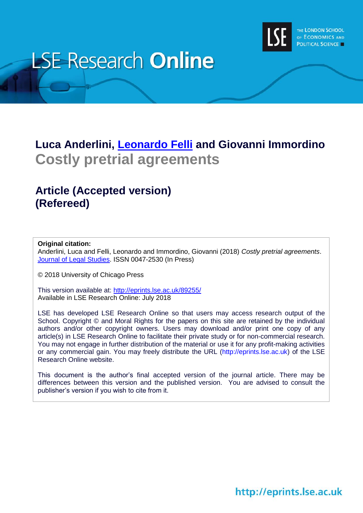

# **LSE Research Online**

# **Luca Anderlini, [Leonardo](http://www.lse.ac.uk/researchAndExpertise/Experts/profile.aspx?KeyValue=l.felli@lse.ac.uk) Felli and Giovanni Immordino Costly pretrial agreements**

# **Article (Accepted version) (Refereed)**

#### **Original citation:**

Anderlini, Luca and Felli, Leonardo and Immordino, Giovanni (2018) *Costly pretrial agreements*. [Journal of Legal Studies.](https://www.journals.uchicago.edu/toc/jls/current) ISSN 0047-2530 (In Press)

© 2018 University of Chicago Press

This version available at:<http://eprints.lse.ac.uk/89255/> Available in LSE Research Online: July 2018

LSE has developed LSE Research Online so that users may access research output of the School. Copyright © and Moral Rights for the papers on this site are retained by the individual authors and/or other copyright owners. Users may download and/or print one copy of any article(s) in LSE Research Online to facilitate their private study or for non-commercial research. You may not engage in further distribution of the material or use it for any profit-making activities or any commercial gain. You may freely distribute the URL (http://eprints.lse.ac.uk) of the LSE Research Online website.

This document is the author's final accepted version of the journal article. There may be differences between this version and the published version. You are advised to consult the publisher's version if you wish to cite from it.

## http://eprints.lse.ac.uk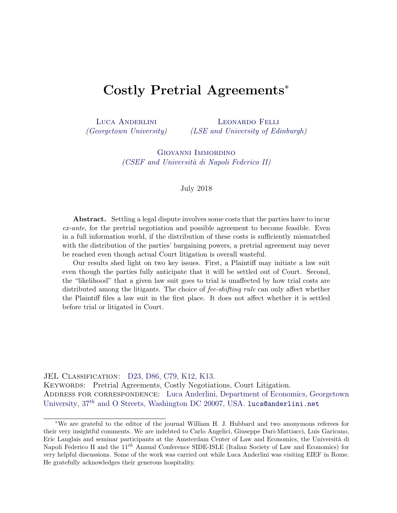### Costly Pretrial Agreements<sup>∗</sup>

[Luca Anderlini](http://www.anderlini.net) [\(Georgetown University\)](http://www.georgetown.edu) [Leonardo Felli](http://econ.lse.ac.uk/~lfelli/index_own.html) [\(LSE and](http://www.lse.ac.uk) [University of Edinburgh\)](http://www.ed.ac.uk/economics)

> [Giovanni Immordino](http://www.csef.it/Immordino) [\(CSEF and Universit`a di Napoli Federico II\)](http://www.csef.it/index.php)

#### July 2018

Abstract. Settling a legal dispute involves some costs that the parties have to incur ex-ante, for the pretrial negotiation and possible agreement to become feasible. Even in a full information world, if the distribution of these costs is sufficiently mismatched with the distribution of the parties' bargaining powers, a pretrial agreement may never be reached even though actual Court litigation is overall wasteful.

Our results shed light on two key issues. First, a Plaintiff may initiate a law suit even though the parties fully anticipate that it will be settled out of Court. Second, the "likelihood" that a given law suit goes to trial is unaffected by how trial costs are distributed among the litigants. The choice of *fee-shifting rule* can only affect whether the Plaintiff files a law suit in the first place. It does not affect whether it is settled before trial or litigated in Court.

JEL Classification: [D23,](http://www.aeaweb.org/econlit/jelCodes.php?view=econlit) [D86,](http://www.aeaweb.org/econlit/jelCodes.php?view=econlit) [C79,](http://www.aeaweb.org/econlit/jelCodes.php?view=econlit) [K12,](http://www.aeaweb.org/econlit/jelCodes.php?view=econlit) [K13.](http://www.aeaweb.org/econlit/jelCodes.php?view=econlit) Keywords: Pretrial Agreements, Costly Negotiations, Court Litigation. ADDRESS FOR CORRESPONDENCE: [Luca Anderlini,](http://www.anderlini.net) [Department of Economics,](http://econ.georgetown.edu/) [Georgetown](http://www.georgetown.edu) [University,](http://www.georgetown.edu)  $37^{th}$  [and O Streets, Washington DC 20007, USA.](http://maps.google.com/maps?f=q&hl=en&geocode=&q=37th+and+O+Streets+NW,+Washington+DC+20007,+USA&sll=38.90855,-77.06347&sspn=0.009968,0.022295&g=37th+and+O+Streets+NW,+Washington+DC+20007,+USA&ie=UTF8&ll=38.907649,-77.071559&spn=0.009968,0.022295&z=16&iwloc=addr) [luca@anderlini.net](mailto:luca@anderlini.net)

<sup>∗</sup>We are grateful to the editor of the journal William H. J. Hubbard and two anonymous referees for their very insightful comments. We are indebted to Carlo Angelici, Giuseppe Dari-Mattiacci, Luis Garicano, Eric Langlais and seminar participants at the Amsterdam Center of Law and Economics, the Università di Napoli Federico II and the  $11^{th}$  Annual Conference SIDE-ISLE (Italian Society of Law and Economics) for very helpful discussions. Some of the work was carried out while Luca Anderlini was visiting EIEF in Rome. He gratefully acknowledges their generous hospitality.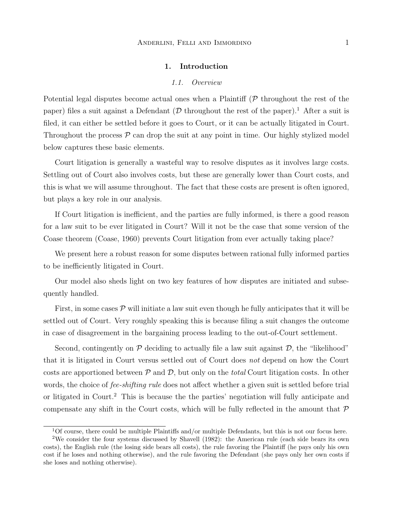#### 1. Introduction

#### 1.1. Overview

Potential legal disputes become actual ones when a Plaintiff  $(P$  throughout the rest of the paper) files a suit against a Defendant ( $D$  throughout the rest of the paper).<sup>1</sup> After a suit is filed, it can either be settled before it goes to Court, or it can be actually litigated in Court. Throughout the process  $P$  can drop the suit at any point in time. Our highly stylized model below captures these basic elements.

Court litigation is generally a wasteful way to resolve disputes as it involves large costs. Settling out of Court also involves costs, but these are generally lower than Court costs, and this is what we will assume throughout. The fact that these costs are present is often ignored, but plays a key role in our analysis.

If Court litigation is inefficient, and the parties are fully informed, is there a good reason for a law suit to be ever litigated in Court? Will it not be the case that some version of the Coase theorem (Coase, 1960) prevents Court litigation from ever actually taking place?

We present here a robust reason for some disputes between rational fully informed parties to be inefficiently litigated in Court.

Our model also sheds light on two key features of how disputes are initiated and subsequently handled.

First, in some cases  $\mathcal P$  will initiate a law suit even though he fully anticipates that it will be settled out of Court. Very roughly speaking this is because filing a suit changes the outcome in case of disagreement in the bargaining process leading to the out-of-Court settlement.

Second, contingently on  $P$  deciding to actually file a law suit against  $D$ , the "likelihood" that it is litigated in Court versus settled out of Court does not depend on how the Court costs are apportioned between  $P$  and  $D$ , but only on the *total* Court litigation costs. In other words, the choice of *fee-shifting rule* does not affect whether a given suit is settled before trial or litigated in Court.<sup>2</sup> This is because the the parties' negotiation will fully anticipate and compensate any shift in the Court costs, which will be fully reflected in the amount that  $\mathcal P$ 

 $1$ Of course, there could be multiple Plaintiffs and/or multiple Defendants, but this is not our focus here.

<sup>2</sup>We consider the four systems discussed by Shavell (1982): the American rule (each side bears its own costs), the English rule (the losing side bears all costs), the rule favoring the Plaintiff (he pays only his own cost if he loses and nothing otherwise), and the rule favoring the Defendant (she pays only her own costs if she loses and nothing otherwise).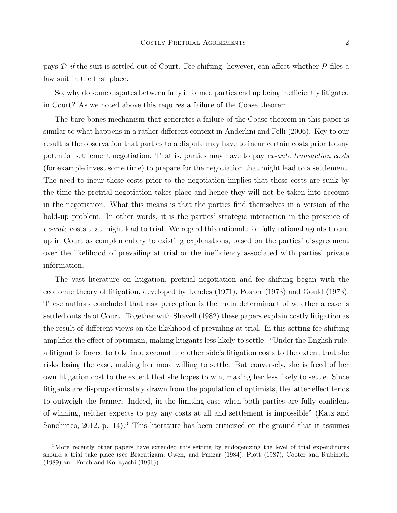pays  $\mathcal{D}$  if the suit is settled out of Court. Fee-shifting, however, can affect whether  $\mathcal{P}$  files a law suit in the first place.

So, why do some disputes between fully informed parties end up being inefficiently litigated in Court? As we noted above this requires a failure of the Coase theorem.

The bare-bones mechanism that generates a failure of the Coase theorem in this paper is similar to what happens in a rather different context in Anderlini and Felli (2006). Key to our result is the observation that parties to a dispute may have to incur certain costs prior to any potential settlement negotiation. That is, parties may have to pay ex-ante transaction costs (for example invest some time) to prepare for the negotiation that might lead to a settlement. The need to incur these costs prior to the negotiation implies that these costs are sunk by the time the pretrial negotiation takes place and hence they will not be taken into account in the negotiation. What this means is that the parties find themselves in a version of the hold-up problem. In other words, it is the parties' strategic interaction in the presence of  $ex$ -ante costs that might lead to trial. We regard this rationale for fully rational agents to end up in Court as complementary to existing explanations, based on the parties' disagreement over the likelihood of prevailing at trial or the inefficiency associated with parties' private information.

The vast literature on litigation, pretrial negotiation and fee shifting began with the economic theory of litigation, developed by Landes (1971), Posner (1973) and Gould (1973). These authors concluded that risk perception is the main determinant of whether a case is settled outside of Court. Together with Shavell (1982) these papers explain costly litigation as the result of different views on the likelihood of prevailing at trial. In this setting fee-shifting amplifies the effect of optimism, making litigants less likely to settle. "Under the English rule, a litigant is forced to take into account the other side's litigation costs to the extent that she risks losing the case, making her more willing to settle. But conversely, she is freed of her own litigation cost to the extent that she hopes to win, making her less likely to settle. Since litigants are disproportionately drawn from the population of optimists, the latter effect tends to outweigh the former. Indeed, in the limiting case when both parties are fully confident of winning, neither expects to pay any costs at all and settlement is impossible" (Katz and Sanchirico, 2012, p. 14).<sup>3</sup> This literature has been criticized on the ground that it assumes

<sup>&</sup>lt;sup>3</sup>More recently other papers have extended this setting by endogenizing the level of trial expenditures should a trial take place (see Braeutigam, Owen, and Panzar (1984), Plott (1987), Cooter and Rubinfeld (1989) and Froeb and Kobayashi (1996))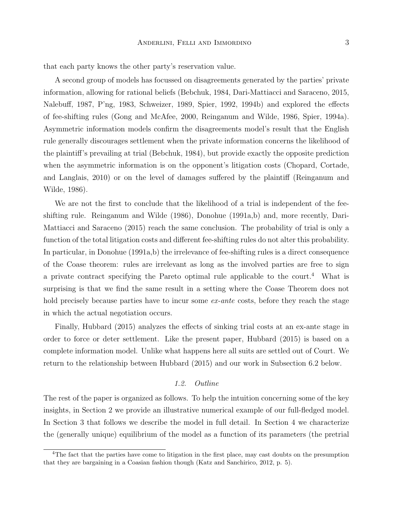that each party knows the other party's reservation value.

A second group of models has focussed on disagreements generated by the parties' private information, allowing for rational beliefs (Bebchuk, 1984, Dari-Mattiacci and Saraceno, 2015, Nalebuff, 1987, P'ng, 1983, Schweizer, 1989, Spier, 1992, 1994b) and explored the effects of fee-shifting rules (Gong and McAfee, 2000, Reinganum and Wilde, 1986, Spier, 1994a). Asymmetric information models confirm the disagreements model's result that the English rule generally discourages settlement when the private information concerns the likelihood of the plaintiff's prevailing at trial (Bebchuk, 1984), but provide exactly the opposite prediction when the asymmetric information is on the opponent's litigation costs (Chopard, Cortade, and Langlais, 2010) or on the level of damages suffered by the plaintiff (Reinganum and Wilde, 1986).

We are not the first to conclude that the likelihood of a trial is independent of the feeshifting rule. Reinganum and Wilde (1986), Donohue (1991a,b) and, more recently, Dari-Mattiacci and Saraceno (2015) reach the same conclusion. The probability of trial is only a function of the total litigation costs and different fee-shifting rules do not alter this probability. In particular, in Donohue (1991a,b) the irrelevance of fee-shifting rules is a direct consequence of the Coase theorem: rules are irrelevant as long as the involved parties are free to sign a private contract specifying the Pareto optimal rule applicable to the court.<sup>4</sup> What is surprising is that we find the same result in a setting where the Coase Theorem does not hold precisely because parties have to incur some ex-ante costs, before they reach the stage in which the actual negotiation occurs.

Finally, Hubbard (2015) analyzes the effects of sinking trial costs at an ex-ante stage in order to force or deter settlement. Like the present paper, Hubbard (2015) is based on a complete information model. Unlike what happens here all suits are settled out of Court. We return to the relationship between Hubbard (2015) and our work in Subsection 6.2 below.

#### 1.2. Outline

The rest of the paper is organized as follows. To help the intuition concerning some of the key insights, in Section 2 we provide an illustrative numerical example of our full-fledged model. In Section 3 that follows we describe the model in full detail. In Section 4 we characterize the (generally unique) equilibrium of the model as a function of its parameters (the pretrial

<sup>&</sup>lt;sup>4</sup>The fact that the parties have come to litigation in the first place, may cast doubts on the presumption that they are bargaining in a Coasian fashion though (Katz and Sanchirico, 2012, p. 5).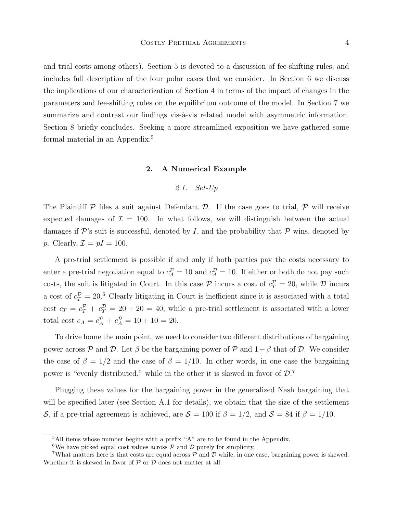and trial costs among others). Section 5 is devoted to a discussion of fee-shifting rules, and includes full description of the four polar cases that we consider. In Section 6 we discuss the implications of our characterization of Section 4 in terms of the impact of changes in the parameters and fee-shifting rules on the equilibrium outcome of the model. In Section 7 we summarize and contrast our findings vis- $\alpha$ -vis related model with asymmetric information. Section 8 briefly concludes. Seeking a more streamlined exposition we have gathered some formal material in an Appendix.<sup>5</sup>

#### 2. A Numerical Example

#### 2.1. Set-Up

The Plaintiff  $\mathcal P$  files a suit against Defendant  $\mathcal D$ . If the case goes to trial,  $\mathcal P$  will receive expected damages of  $\mathcal{I} = 100$ . In what follows, we will distinguish between the actual damages if  $\mathcal{P}$ 's suit is successful, denoted by I, and the probability that  $\mathcal{P}$  wins, denoted by p. Clearly,  $\mathcal{I} = pI = 100$ .

A pre-trial settlement is possible if and only if both parties pay the costs necessary to enter a pre-trial negotiation equal to  $c_A^{\mathcal{P}} = 10$  and  $c_A^{\mathcal{D}} = 10$ . If either or both do not pay such costs, the suit is litigated in Court. In this case  $P$  incurs a cost of  $c_T^P = 20$ , while  $D$  incurs a cost of  $c_T^{\mathcal{D}} = 20.6$  Clearly litigating in Court is inefficient since it is associated with a total cost  $c_T = c_T^{\mathcal{P}} + c_T^{\mathcal{D}} = 20 + 20 = 40$ , while a pre-trial settlement is associated with a lower total cost  $c_A = c_A^{\mathcal{P}} + c_A^{\mathcal{D}} = 10 + 10 = 20.$ 

To drive home the main point, we need to consider two different distributions of bargaining power across P and D. Let  $\beta$  be the bargaining power of P and  $1-\beta$  that of D. We consider the case of  $\beta = 1/2$  and the case of  $\beta = 1/10$ . In other words, in one case the bargaining power is "evenly distributed," while in the other it is skewed in favor of  $\mathcal{D}$ .

Plugging these values for the bargaining power in the generalized Nash bargaining that will be specified later (see Section A.1 for details), we obtain that the size of the settlement S, if a pre-trial agreement is achieved, are  $S = 100$  if  $\beta = 1/2$ , and  $S = 84$  if  $\beta = 1/10$ .

<sup>5</sup>All items whose number begins with a prefix "A" are to be found in the Appendix.

<sup>&</sup>lt;sup>6</sup>We have picked equal cost values across  $P$  and  $D$  purely for simplicity.

What matters here is that costs are equal across  $\mathcal{P}$  and  $\mathcal{D}$  while, in one case, bargaining power is skewed. Whether it is skewed in favor of  $P$  or  $D$  does not matter at all.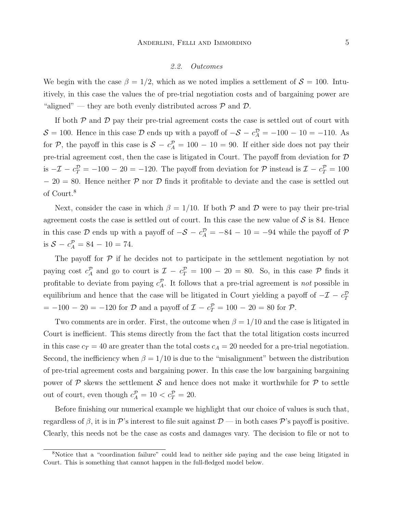#### 2.2. Outcomes

We begin with the case  $\beta = 1/2$ , which as we noted implies a settlement of  $\mathcal{S} = 100$ . Intuitively, in this case the values the of pre-trial negotiation costs and of bargaining power are "aligned" — they are both evenly distributed across  $P$  and  $D$ .

If both  $P$  and  $D$  pay their pre-trial agreement costs the case is settled out of court with  $S = 100$ . Hence in this case  $D$  ends up with a payoff of  $-S - c_A^D = -100 - 10 = -110$ . As for P, the payoff in this case is  $S - c_A^P = 100 - 10 = 90$ . If either side does not pay their pre-trial agreement cost, then the case is litigated in Court. The payoff from deviation for D is  $-\mathcal{I} - c_T^{\mathcal{D}} = -100 - 20 = -120$ . The payoff from deviation for  $\mathcal{P}$  instead is  $\mathcal{I} - c_T^{\mathcal{P}} = 100$  $-20 = 80$ . Hence neither P nor D finds it profitable to deviate and the case is settled out of Court.<sup>8</sup>

Next, consider the case in which  $\beta = 1/10$ . If both P and D were to pay their pre-trial agreement costs the case is settled out of court. In this case the new value of  $\mathcal S$  is 84. Hence in this case  $\mathcal D$  ends up with a payoff of  $-\mathcal S - c_A^{\mathcal D} = -84 - 10 = -94$  while the payoff of  $\mathcal P$ is  $S - c_A^P = 84 - 10 = 74$ .

The payoff for  $\mathcal P$  if he decides not to participate in the settlement negotiation by not paying cost  $c_A^{\mathcal{P}}$  and go to court is  $\mathcal{I} - c_T^{\mathcal{P}} = 100 - 20 = 80$ . So, in this case  $\mathcal{P}$  finds it profitable to deviate from paying  $c_A^{\mathcal{P}}$ . It follows that a pre-trial agreement is *not* possible in equilibrium and hence that the case will be litigated in Court yielding a payoff of  $-\mathcal{I} - c_T^{\mathcal{D}}$  $= -100 - 20 = -120$  for  $D$  and a payoff of  $\mathcal{I} - c_T^{\mathcal{P}} = 100 - 20 = 80$  for  $\mathcal{P}$ .

Two comments are in order. First, the outcome when  $\beta = 1/10$  and the case is litigated in Court is inefficient. This stems directly from the fact that the total litigation costs incurred in this case  $c_T = 40$  are greater than the total costs  $c_A = 20$  needed for a pre-trial negotiation. Second, the inefficiency when  $\beta = 1/10$  is due to the "misalignment" between the distribution of pre-trial agreement costs and bargaining power. In this case the low bargaining bargaining power of  $P$  skews the settlement  $S$  and hence does not make it worthwhile for  $P$  to settle out of court, even though  $c_A^{\mathcal{P}} = 10 < c_T^{\mathcal{P}} = 20$ .

Before finishing our numerical example we highlight that our choice of values is such that, regardless of  $\beta$ , it is in P's interest to file suit against  $\mathcal{D}$  — in both cases P's payoff is positive. Clearly, this needs not be the case as costs and damages vary. The decision to file or not to

<sup>8</sup>Notice that a "coordination failure" could lead to neither side paying and the case being litigated in Court. This is something that cannot happen in the full-fledged model below.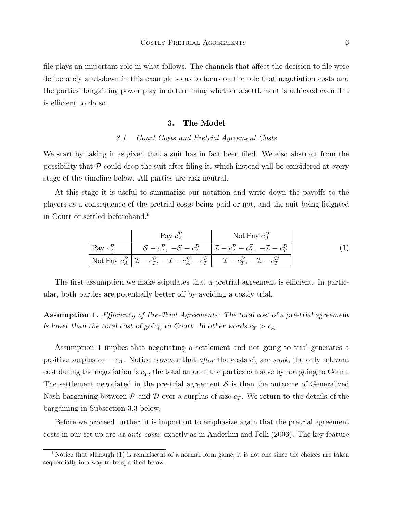file plays an important role in what follows. The channels that affect the decision to file were deliberately shut-down in this example so as to focus on the role that negotiation costs and the parties' bargaining power play in determining whether a settlement is achieved even if it is efficient to do so.

#### 3. The Model

#### 3.1. Court Costs and Pretrial Agreement Costs

We start by taking it as given that a suit has in fact been filed. We also abstract from the possibility that  $P$  could drop the suit after filing it, which instead will be considered at every stage of the timeline below. All parties are risk-neutral.

At this stage it is useful to summarize our notation and write down the payoffs to the players as a consequence of the pretrial costs being paid or not, and the suit being litigated in Court or settled beforehand.<sup>9</sup>

$$
\frac{\text{Pay } c_A^{\mathcal{D}} \qquad \qquad \text{Not Pay } c_A^{\mathcal{D}}}{\text{Pay } c_A^{\mathcal{P}} \qquad \qquad \mathcal{S} - c_A^{\mathcal{P}}, \ -\mathcal{S} - c_A^{\mathcal{D}} \qquad \mathcal{I} - c_A^{\mathcal{P}} - c_T^{\mathcal{P}}, \ -\mathcal{I} - c_T^{\mathcal{D}}}
$$
\n
$$
\text{Not Pay } c_A^{\mathcal{P}} \qquad \mathcal{I} - c_T^{\mathcal{P}}, \ -\mathcal{I} - c_A^{\mathcal{D}} - c_T^{\mathcal{P}} \qquad \mathcal{I} - c_T^{\mathcal{P}}, \ -\mathcal{I} - c_T^{\mathcal{D}}}
$$
\n
$$
\tag{1}
$$

The first assumption we make stipulates that a pretrial agreement is efficient. In particular, both parties are potentially better off by avoiding a costly trial.

Assumption 1. Efficiency of Pre-Trial Agreements: The total cost of a pre-trial agreement is lower than the total cost of going to Court. In other words  $c_T > c_A$ .

Assumption 1 implies that negotiating a settlement and not going to trial generates a positive surplus  $c_T - c_A$ . Notice however that *after* the costs  $c_A^i$  are *sunk*, the only relevant cost during the negotiation is  $c_T$ , the total amount the parties can save by not going to Court. The settlement negotiated in the pre-trial agreement  $\mathcal S$  is then the outcome of Generalized Nash bargaining between  $\mathcal P$  and  $\mathcal D$  over a surplus of size  $c_T$ . We return to the details of the bargaining in Subsection 3.3 below.

Before we proceed further, it is important to emphasize again that the pretrial agreement costs in our set up are ex-ante costs, exactly as in Anderlini and Felli (2006). The key feature

<sup>&</sup>lt;sup>9</sup>Notice that although (1) is reminiscent of a normal form game, it is not one since the choices are taken sequentially in a way to be specified below.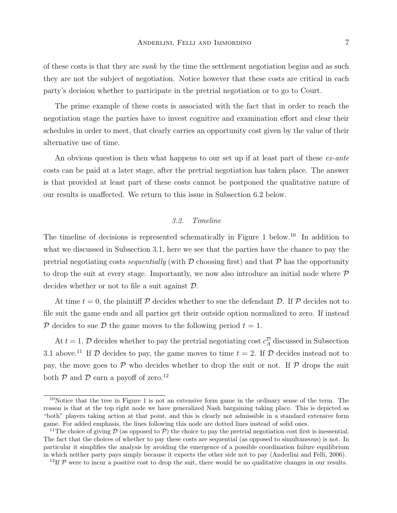of these costs is that they are *sunk* by the time the settlement negotiation begins and as such they are not the subject of negotiation. Notice however that these costs are critical in each party's decision whether to participate in the pretrial negotiation or to go to Court.

The prime example of these costs is associated with the fact that in order to reach the negotiation stage the parties have to invest cognitive and examination effort and clear their schedules in order to meet, that clearly carries an opportunity cost given by the value of their alternative use of time.

An obvious question is then what happens to our set up if at least part of these ex-ante costs can be paid at a later stage, after the pretrial negotiation has taken place. The answer is that provided at least part of these costs cannot be postponed the qualitative nature of our results is unaffected. We return to this issue in Subsection 6.2 below.

#### 3.2. Timeline

The timeline of decisions is represented schematically in Figure 1 below.<sup>10</sup> In addition to what we discussed in Subsection 3.1, here we see that the parties have the chance to pay the pretrial negotiating costs *sequentially* (with  $D$  choosing first) and that  $P$  has the opportunity to drop the suit at every stage. Importantly, we now also introduce an initial node where  $P$ decides whether or not to file a suit against D.

At time  $t = 0$ , the plaintiff P decides whether to sue the defendant D. If P decides not to file suit the game ends and all parties get their outside option normalized to zero. If instead P decides to sue D the game moves to the following period  $t = 1$ .

At  $t = 1$ ,  $\mathcal{D}$  decides whether to pay the pretrial negotiating cost  $c_A^{\mathcal{D}}$  discussed in Subsection 3.1 above.<sup>11</sup> If D decides to pay, the game moves to time  $t = 2$ . If D decides instead not to pay, the move goes to  $\mathcal P$  who decides whether to drop the suit or not. If  $\mathcal P$  drops the suit both  $P$  and  $D$  earn a payoff of zero.<sup>12</sup>

 $10$ Notice that the tree in Figure 1 is not an extensive form game in the ordinary sense of the term. The reason is that at the top right node we have generalized Nash bargaining taking place. This is depicted as "both" players taking action at that point, and this is clearly not admissible in a standard extensive form game. For added emphasis, the lines following this node are dotted lines instead of solid ones.

<sup>&</sup>lt;sup>11</sup>The choice of giving D (as opposed to P) the choice to pay the pretrial negotiation cost first is inessential. The fact that the choices of whether to pay these costs are sequential (as opposed to simultaneous) is not. In particular it simplifies the analysis by avoiding the emergence of a possible coordination failure equilibrium in which neither party pays simply because it expects the other side not to pay (Anderlini and Felli, 2006).

<sup>&</sup>lt;sup>12</sup>If  $P$  were to incur a positive cost to drop the suit, there would be no qualitative changes in our results.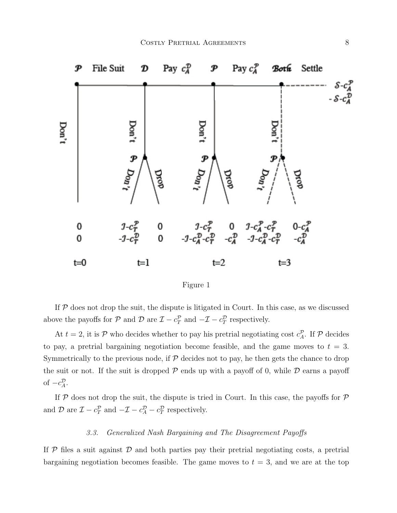



If  $P$  does not drop the suit, the dispute is litigated in Court. In this case, as we discussed above the payoffs for  $P$  and  $D$  are  $\mathcal{I} - c_T^p$  and  $-\mathcal{I} - c_T^p$  respectively.

At  $t = 2$ , it is P who decides whether to pay his pretrial negotiating cost  $c_A^{\mathcal{P}}$ . If P decides to pay, a pretrial bargaining negotiation become feasible, and the game moves to  $t = 3$ . Symmetrically to the previous node, if  $P$  decides not to pay, he then gets the chance to drop the suit or not. If the suit is dropped  $P$  ends up with a payoff of 0, while  $D$  earns a payoff of  $-c_A^{\mathcal{D}}$ .

If  $P$  does not drop the suit, the dispute is tried in Court. In this case, the payoffs for  $P$ and  $\mathcal{D}$  are  $\mathcal{I} - c_T^{\mathcal{P}}$  and  $-\mathcal{I} - c_A^{\mathcal{D}} - c_T^{\mathcal{D}}$  respectively.

#### 3.3. Generalized Nash Bargaining and The Disagreement Payoffs

If  $\mathcal P$  files a suit against  $\mathcal D$  and both parties pay their pretrial negotiating costs, a pretrial bargaining negotiation becomes feasible. The game moves to  $t = 3$ , and we are at the top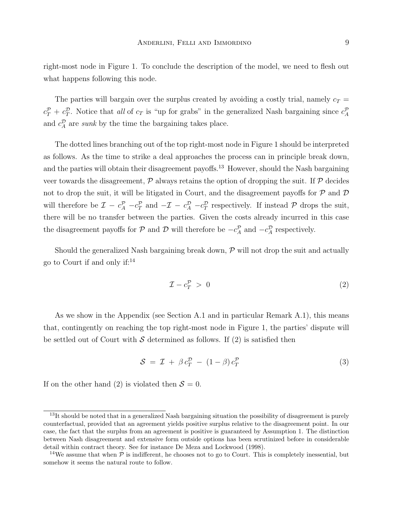right-most node in Figure 1. To conclude the description of the model, we need to flesh out what happens following this node.

The parties will bargain over the surplus created by avoiding a costly trial, namely  $c_T =$  $c_T^{\mathcal{P}}+c_T^{\mathcal{D}}$ . Notice that all of  $c_T$  is "up for grabs" in the generalized Nash bargaining since  $c_A^{\mathcal{P}}$ and  $c_A^{\mathcal{D}}$  are *sunk* by the time the bargaining takes place.

The dotted lines branching out of the top right-most node in Figure 1 should be interpreted as follows. As the time to strike a deal approaches the process can in principle break down, and the parties will obtain their disagreement payoffs.<sup>13</sup> However, should the Nash bargaining veer towards the disagreement,  $\mathcal P$  always retains the option of dropping the suit. If  $\mathcal P$  decides not to drop the suit, it will be litigated in Court, and the disagreement payoffs for  $P$  and  $D$ will therefore be  $\mathcal{I} - c_A^{\mathcal{P}} - c_T^{\mathcal{P}}$  and  $-\mathcal{I} - c_A^{\mathcal{P}} - c_T^{\mathcal{P}}$  respectively. If instead  $\mathcal{P}$  drops the suit, there will be no transfer between the parties. Given the costs already incurred in this case the disagreement payoffs for  $P$  and  $D$  will therefore be  $-c_A^P$  and  $-c_A^D$  respectively.

Should the generalized Nash bargaining break down,  $\mathcal{P}$  will not drop the suit and actually go to Court if and only if:<sup>14</sup>

$$
\mathcal{I} - c_T^{\mathcal{P}} > 0 \tag{2}
$$

As we show in the Appendix (see Section A.1 and in particular Remark A.1), this means that, contingently on reaching the top right-most node in Figure 1, the parties' dispute will be settled out of Court with S determined as follows. If  $(2)$  is satisfied then

$$
S = \mathcal{I} + \beta c_T^{\mathcal{D}} - (1 - \beta) c_T^{\mathcal{P}}
$$
\n(3)

If on the other hand (2) is violated then  $S = 0$ .

<sup>&</sup>lt;sup>13</sup>It should be noted that in a generalized Nash bargaining situation the possibility of disagreement is purely counterfactual, provided that an agreement yields positive surplus relative to the disagreement point. In our case, the fact that the surplus from an agreement is positive is guaranteed by Assumption 1. The distinction between Nash disagreement and extensive form outside options has been scrutinized before in considerable detail within contract theory. See for instance De Meza and Lockwood (1998).

<sup>&</sup>lt;sup>14</sup>We assume that when  $\mathcal P$  is indifferent, he chooses not to go to Court. This is completely inessential, but somehow it seems the natural route to follow.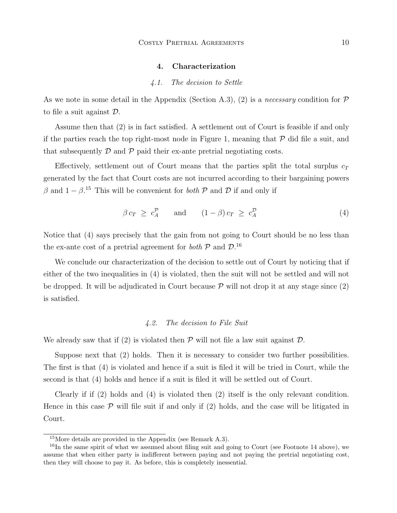#### 4. Characterization

#### 4.1. The decision to Settle

As we note in some detail in the Appendix (Section A.3), (2) is a *necessary* condition for  $\mathcal P$ to file a suit against D.

Assume then that (2) is in fact satisfied. A settlement out of Court is feasible if and only if the parties reach the top right-most node in Figure 1, meaning that  $\mathcal P$  did file a suit, and that subsequently  $\mathcal D$  and  $\mathcal P$  paid their ex-ante pretrial negotiating costs.

Effectively, settlement out of Court means that the parties split the total surplus  $c_T$ generated by the fact that Court costs are not incurred according to their bargaining powers β and  $1 - β$ <sup>15</sup>. This will be convenient for *both* P and D if and only if

$$
\beta c_T \geq c_A^{\mathcal{P}} \quad \text{and} \quad (1 - \beta) c_T \geq c_A^{\mathcal{D}} \tag{4}
$$

Notice that (4) says precisely that the gain from not going to Court should be no less than the ex-ante cost of a pretrial agreement for *both*  $P$  and  $D$ .<sup>16</sup>

We conclude our characterization of the decision to settle out of Court by noticing that if either of the two inequalities in (4) is violated, then the suit will not be settled and will not be dropped. It will be adjudicated in Court because  $P$  will not drop it at any stage since  $(2)$ is satisfied.

#### 4.2. The decision to File Suit

We already saw that if (2) is violated then  $\mathcal P$  will not file a law suit against  $\mathcal D$ .

Suppose next that (2) holds. Then it is necessary to consider two further possibilities. The first is that (4) is violated and hence if a suit is filed it will be tried in Court, while the second is that (4) holds and hence if a suit is filed it will be settled out of Court.

Clearly if if (2) holds and (4) is violated then (2) itself is the only relevant condition. Hence in this case  $\mathcal P$  will file suit if and only if (2) holds, and the case will be litigated in Court.

<sup>15</sup>More details are provided in the Appendix (see Remark A.3).

<sup>&</sup>lt;sup>16</sup>In the same spirit of what we assumed about filing suit and going to Court (see Footnote 14 above), we assume that when either party is indifferent between paying and not paying the pretrial negotiating cost, then they will choose to pay it. As before, this is completely inessential.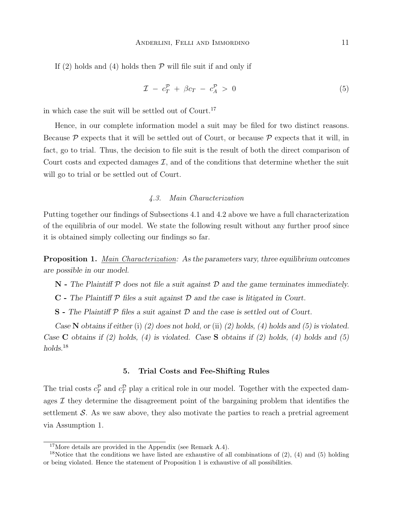If (2) holds and (4) holds then  $P$  will file suit if and only if

$$
\mathcal{I} - c_T^{\mathcal{P}} + \beta c_T - c_A^{\mathcal{P}} > 0 \tag{5}
$$

in which case the suit will be settled out of  $\text{Count.}^{17}$ 

Hence, in our complete information model a suit may be filed for two distinct reasons. Because  $\mathcal P$  expects that it will be settled out of Court, or because  $\mathcal P$  expects that it will, in fact, go to trial. Thus, the decision to file suit is the result of both the direct comparison of Court costs and expected damages  $\mathcal{I}$ , and of the conditions that determine whether the suit will go to trial or be settled out of Court.

#### 4.3. Main Characterization

Putting together our findings of Subsections 4.1 and 4.2 above we have a full characterization of the equilibria of our model. We state the following result without any further proof since it is obtained simply collecting our findings so far.

Proposition 1. Main Characterization: As the parameters vary, three equilibrium outcomes are possible in our model.

 $\mathbb N$  - The Plaintiff  $\mathcal P$  does not file a suit against  $\mathcal D$  and the game terminates immediately.

 $C$  - The Plaintiff  $P$  files a suit against  $D$  and the case is litigated in Court.

 $S$  - The Plaintiff  $P$  files a suit against  $D$  and the case is settled out of Court.

Case N obtains if either (i) (2) does not hold, or (ii) (2) holds, (4) holds and (5) is violated. Case C obtains if (2) holds, (4) is violated. Case S obtains if (2) holds, (4) holds and (5) holds.<sup>18</sup>

#### 5. Trial Costs and Fee-Shifting Rules

The trial costs  $c_T^{\mathcal{P}}$  and  $c_T^{\mathcal{D}}$  play a critical role in our model. Together with the expected damages  $\mathcal I$  they determine the disagreement point of the bargaining problem that identifies the settlement  $\mathcal S$ . As we saw above, they also motivate the parties to reach a pretrial agreement via Assumption 1.

<sup>&</sup>lt;sup>17</sup>More details are provided in the Appendix (see Remark A.4).

<sup>&</sup>lt;sup>18</sup>Notice that the conditions we have listed are exhaustive of all combinations of (2), (4) and (5) holding or being violated. Hence the statement of Proposition 1 is exhaustive of all possibilities.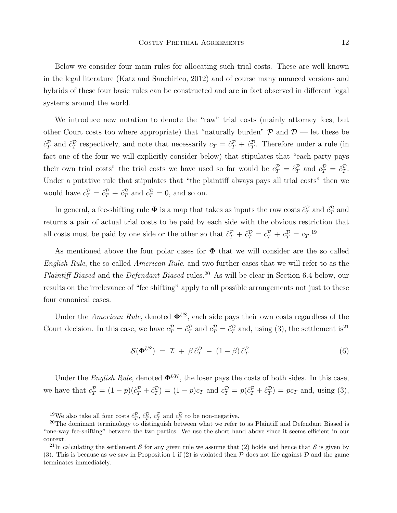Below we consider four main rules for allocating such trial costs. These are well known in the legal literature (Katz and Sanchirico, 2012) and of course many nuanced versions and hybrids of these four basic rules can be constructed and are in fact observed in different legal systems around the world.

We introduce new notation to denote the "raw" trial costs (mainly attorney fees, but other Court costs too where appropriate) that "naturally burden"  $\mathcal{P}$  and  $\mathcal{D}$  — let these be  $\hat{c}_T^{\mathcal{P}}$  and  $\hat{c}_T^{\mathcal{D}}$  respectively, and note that necessarily  $c_T = \hat{c}_T^{\mathcal{P}} + \hat{c}_T^{\mathcal{D}}$ . Therefore under a rule (in fact one of the four we will explicitly consider below) that stipulates that "each party pays their own trial costs" the trial costs we have used so far would be  $c_T^{\mathcal{P}} = \hat{c}_T^{\mathcal{P}}$  and  $c_T^{\mathcal{D}} = \hat{c}_T^{\mathcal{D}}$ . Under a putative rule that stipulates that "the plaintiff always pays all trial costs" then we would have  $c_T^{\mathcal{P}} = \hat{c}_T^{\mathcal{P}} + \hat{c}_T^{\mathcal{D}}$  and  $c_T^{\mathcal{D}} = 0$ , and so on.

In general, a fee-shifting rule  $\Phi$  is a map that takes as inputs the raw costs  $\hat{c}_T^{\mathcal{P}}$  and  $\hat{c}_T^{\mathcal{D}}$  and returns a pair of actual trial costs to be paid by each side with the obvious restriction that all costs must be paid by one side or the other so that  $\hat{c}_T^{\mathcal{P}} + \hat{c}_T^{\mathcal{D}} = c_T^{\mathcal{P}} + c_T^{\mathcal{D}} = c_T^{19}$ 

As mentioned above the four polar cases for  $\Phi$  that we will consider are the so called English Rule, the so called American Rule, and two further cases that we will refer to as the Plaintiff Biased and the Defendant Biased rules.<sup>20</sup> As will be clear in Section 6.4 below, our results on the irrelevance of "fee shifting" apply to all possible arrangements not just to these four canonical cases.

Under the American Rule, denoted  $\mathbf{\Phi}^{US}$ , each side pays their own costs regardless of the Court decision. In this case, we have  $c_T^{\mathcal{P}} = \hat{c}_T^{\mathcal{P}}$  and  $c_T^{\mathcal{D}} = \hat{c}_T^{\mathcal{P}}$  and, using (3), the settlement is<sup>21</sup>

$$
\mathcal{S}(\mathbf{\Phi}^{US}) = \mathcal{I} + \beta \hat{c}_T^{\mathcal{D}} - (1 - \beta) \hat{c}_T^{\mathcal{P}} \tag{6}
$$

Under the English Rule, denoted  $\Phi^{UK}$ , the loser pays the costs of both sides. In this case, we have that  $c_T^{\mathcal{P}} = (1-p)(\hat{c}_T^{\mathcal{P}} + \hat{c}_T^{\mathcal{D}}) = (1-p)c_T$  and  $c_T^{\mathcal{D}} = p(\hat{c}_T^{\mathcal{P}} + \hat{c}_T^{\mathcal{D}}) = pc_T$  and, using (3),

<sup>&</sup>lt;sup>19</sup>We also take all four costs  $\hat{c}_T^{\mathcal{P}}, \hat{c}_T^{\mathcal{P}}, c_T^{\mathcal{P}}$  and  $c_T^{\mathcal{D}}$  to be non-negative.

<sup>&</sup>lt;sup>20</sup>The dominant terminology to distinguish between what we refer to as Plaintiff and Defendant Biased is "one-way fee-shifting" between the two parties. We use the short hand above since it seems efficient in our context.

<sup>&</sup>lt;sup>21</sup>In calculating the settlement S for any given rule we assume that (2) holds and hence that S is given by (3). This is because as we saw in Proposition 1 if (2) is violated then  $P$  does not file against  $D$  and the game terminates immediately.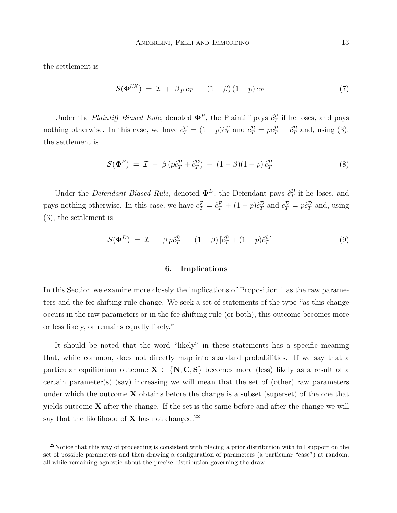the settlement is

$$
\mathcal{S}(\mathbf{\Phi}^{UK}) = \mathcal{I} + \beta p c_T - (1 - \beta)(1 - p) c_T \tag{7}
$$

Under the *Plaintiff Biased Rule*, denoted  $\mathbf{\Phi}^P$ , the Plaintiff pays  $\hat{c}_T^P$  if he loses, and pays nothing otherwise. In this case, we have  $c_T^{\mathcal{P}} = (1 - p)\hat{c}_T^{\mathcal{P}}$  and  $c_T^{\mathcal{D}} = p\hat{c}_T^{\mathcal{P}} + \hat{c}_T^{\mathcal{D}}$  and, using (3), the settlement is

$$
\mathcal{S}(\Phi^P) = \mathcal{I} + \beta (p\hat{c}_T^P + \hat{c}_T^D) - (1 - \beta)(1 - p)\hat{c}_T^P
$$
\n(8)

Under the *Defendant Biased Rule*, denoted  $\mathbf{\Phi}^D$ , the Defendant pays  $\hat{c}_T^D$  if he loses, and pays nothing otherwise. In this case, we have  $c_T^{\mathcal{P}} = \hat{c}_T^{\mathcal{P}} + (1 - p)\hat{c}_T^{\mathcal{D}}$  and  $c_T^{\mathcal{D}} = p\hat{c}_T^{\mathcal{D}}$  and, using (3), the settlement is

$$
\mathcal{S}(\mathbf{\Phi}^D) = \mathcal{I} + \beta p \hat{c}_T^D - (1 - \beta) [\hat{c}_T^P + (1 - p)\hat{c}_T^D] \tag{9}
$$

#### 6. Implications

In this Section we examine more closely the implications of Proposition 1 as the raw parameters and the fee-shifting rule change. We seek a set of statements of the type "as this change occurs in the raw parameters or in the fee-shifting rule (or both), this outcome becomes more or less likely, or remains equally likely."

It should be noted that the word "likely" in these statements has a specific meaning that, while common, does not directly map into standard probabilities. If we say that a particular equilibrium outcome  $X \in \{N, C, S\}$  becomes more (less) likely as a result of a certain parameter(s) (say) increasing we will mean that the set of (other) raw parameters under which the outcome  $X$  obtains before the change is a subset (superset) of the one that yields outcome  $X$  after the change. If the set is the same before and after the change we will say that the likelihood of  $\bold{X}$  has not changed.  $^{22}$ 

 $^{22}$ Notice that this way of proceeding is consistent with placing a prior distribution with full support on the set of possible parameters and then drawing a configuration of parameters (a particular "case") at random, all while remaining agnostic about the precise distribution governing the draw.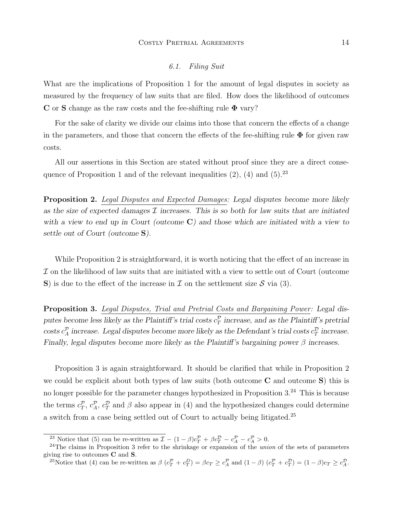#### 6.1. Filing Suit

What are the implications of Proposition 1 for the amount of legal disputes in society as measured by the frequency of law suits that are filed. How does the likelihood of outcomes C or S change as the raw costs and the fee-shifting rule  $\Phi$  vary?

For the sake of clarity we divide our claims into those that concern the effects of a change in the parameters, and those that concern the effects of the fee-shifting rule  $\Phi$  for given raw costs.

All our assertions in this Section are stated without proof since they are a direct consequence of Proposition 1 and of the relevant inequalities  $(2)$ ,  $(4)$  and  $(5)$ .<sup>23</sup>

**Proposition 2.** Legal Disputes and Expected Damages: Legal disputes become more likely as the size of expected damages  $\mathcal I$  increases. This is so both for law suits that are initiated with a view to end up in Court (outcome  $C$ ) and those which are initiated with a view to settle out of Court (outcome S).

While Proposition 2 is straightforward, it is worth noticing that the effect of an increase in I on the likelihood of law suits that are initiated with a view to settle out of Court (outcome S) is due to the effect of the increase in  $\mathcal I$  on the settlement size  $\mathcal S$  via (3).

Proposition 3. Legal Disputes, Trial and Pretrial Costs and Bargaining Power: Legal disputes become less likely as the Plaintiff's trial costs  $c_T^{\mathcal{P}}$  increase, and as the Plaintiff's pretrial costs  $c_A^{\mathcal{P}}$  increase. Legal disputes become more likely as the Defendant's trial costs  $c_T^{\mathcal{P}}$  increase. Finally, legal disputes become more likely as the Plaintiff's bargaining power  $\beta$  increases.

Proposition 3 is again straightforward. It should be clarified that while in Proposition 2 we could be explicit about both types of law suits (both outcome  $C$  and outcome  $S$ ) this is no longer possible for the parameter changes hypothesized in Proposition  $3.^{24}$  This is because the terms  $c_T^{\mathcal{P}}, c_A^{\mathcal{P}}, c_T^{\mathcal{P}}$  and  $\beta$  also appear in (4) and the hypothesized changes could determine a switch from a case being settled out of Court to actually being litigated.<sup>25</sup>

<sup>&</sup>lt;sup>23</sup> Notice that (5) can be re-written as  $\mathcal{I} - (1 - \beta)c_T^{\mathcal{P}} + \beta c_T^{\mathcal{D}} - c_A^{\mathcal{P}} - c_A^{\mathcal{P}} > 0$ .

 $^{24}$ The claims in Proposition 3 refer to the shrinkage or expansion of the union of the sets of parameters giving rise to outcomes C and S.

<sup>&</sup>lt;sup>25</sup>Notice that (4) can be re-written as  $\beta$   $(c_T^{\mathcal{P}} + c_T^{\mathcal{D}}) = \beta c_T \ge c_A^{\mathcal{P}}$  and  $(1 - \beta)$   $(c_T^{\mathcal{P}} + c_T^{\mathcal{D}}) = (1 - \beta)c_T \ge c_A^{\mathcal{D}}$ .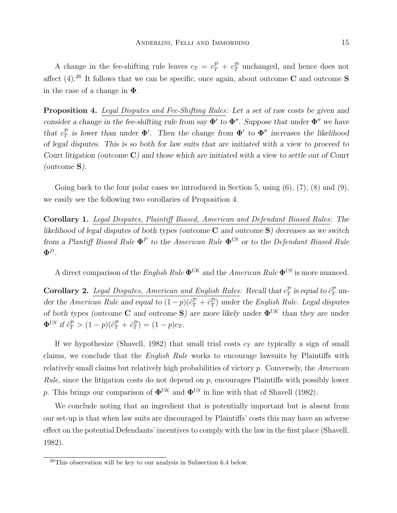A change in the fee-shifting rule leaves  $c_T = c_T^{\mathcal{P}} + c_T^{\mathcal{D}}$  unchanged, and hence does not affect (4).<sup>26</sup> It follows that we can be specific, once again, about outcome C and outcome S in the case of a change in  $\Phi$ .

Proposition 4. Legal Disputes and Fee-Shifting Rules: Let a set of raw costs be given and consider a change in the fee-shifting rule from say  $\Phi'$  to  $\Phi''$ . Suppose that under  $\Phi''$  we have that  $c_T^{\mathcal{P}}$  is lower than under  $\Phi'$ . Then the change from  $\Phi'$  to  $\Phi''$  increases the likelihood of legal disputes. This is so both for law suits that are initiated with a view to proceed to Court litigation (outcome C) and those which are initiated with a view to settle out of Court (outcome S).

Going back to the four polar cases we introduced in Section 5, using  $(6)$ ,  $(7)$ ,  $(8)$  and  $(9)$ , we easily see the following two corollaries of Proposition 4.

Corollary 1. Legal Disputes, Plaintiff Biased, American and Defendant Biased Rules: The likelihood of legal disputes of both types (outcome  $C$  and outcome  $S$ ) decreases as we switch from a Plantiff Biased Rule  $\mathbf{\Phi}^P$  to the American Rule  $\mathbf{\Phi}^{US}$  or to the Defendant Biased Rule  $\pmb{\Phi}^D$  .

A direct comparison of the English Rule  $\mathbf{\Phi}^{UK}$  and the American Rule  $\mathbf{\Phi}^{US}$  is more nuanced.

Corollary 2. Legal Disputes, American and English Rules: Recall that  $c_T^{\mathcal{P}}$  is equal to  $\hat{c}_T^{\mathcal{P}}$  under the American Rule and equal to  $(1-p)(\hat{c}_T^{\mathcal{P}} + \hat{c}_T^{\mathcal{D}})$  under the English Rule. Legal disputes of both types (outcome C and outcome S) are more likely under  $\Phi^{UK}$  than they are under  $\Phi^{US}$  if  $\hat{c}_T^{\mathcal{P}} > (1-p)(\hat{c}_T^{\mathcal{P}} + \hat{c}_T^{\mathcal{D}}) = (1-p)c_T.$ 

If we hypothesize (Shavell, 1982) that small trial costs  $c<sub>T</sub>$  are typically a sign of small claims, we conclude that the *English Rule* works to encourage lawsuits by Plaintiffs with relatively small claims but relatively high probabilities of victory  $p$ . Conversely, the American Rule, since the litigation costs do not depend on  $p$ , encourages Plaintiffs with possibly lower p. This brings our comparison of  $\mathbf{\Phi}^{UK}$  and  $\mathbf{\Phi}^{US}$  in line with that of Shavell (1982).

We conclude noting that an ingredient that is potentially important but is absent from our set-up is that when law suits are discouraged by Plaintiffs' costs this may have an adverse effect on the potential Defendants' incentives to comply with the law in the first place (Shavell, 1982).

 $^{26}$ This observation will be key to our analysis in Subsection 6.4 below.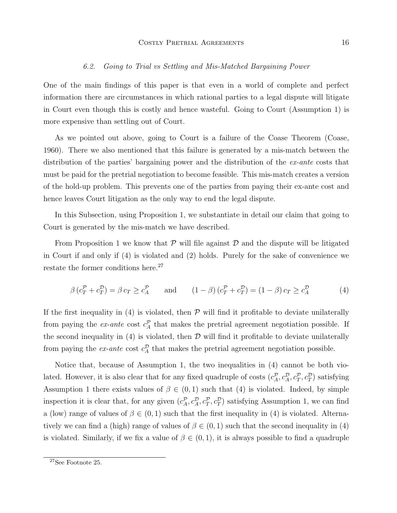#### 6.2. Going to Trial vs Settling and Mis-Matched Bargaining Power

One of the main findings of this paper is that even in a world of complete and perfect information there are circumstances in which rational parties to a legal dispute will litigate in Court even though this is costly and hence wasteful. Going to Court (Assumption 1) is more expensive than settling out of Court.

As we pointed out above, going to Court is a failure of the Coase Theorem (Coase, 1960). There we also mentioned that this failure is generated by a mis-match between the distribution of the parties' bargaining power and the distribution of the ex-ante costs that must be paid for the pretrial negotiation to become feasible. This mis-match creates a version of the hold-up problem. This prevents one of the parties from paying their ex-ante cost and hence leaves Court litigation as the only way to end the legal dispute.

In this Subsection, using Proposition 1, we substantiate in detail our claim that going to Court is generated by the mis-match we have described.

From Proposition 1 we know that  $\mathcal P$  will file against  $\mathcal D$  and the dispute will be litigated in Court if and only if (4) is violated and (2) holds. Purely for the sake of convenience we restate the former conditions here.<sup>27</sup>

$$
\beta \left( c_T^{\mathcal{P}} + c_T^{\mathcal{D}} \right) = \beta \, c_T \geq c_A^{\mathcal{P}} \qquad \text{and} \qquad (1 - \beta) \left( c_T^{\mathcal{P}} + c_T^{\mathcal{D}} \right) = (1 - \beta) \, c_T \geq c_A^{\mathcal{D}} \tag{4}
$$

If the first inequality in (4) is violated, then  $P$  will find it profitable to deviate unilaterally from paying the *ex-ante* cost  $c_A^{\mathcal{P}}$  that makes the pretrial agreement negotiation possible. If the second inequality in  $(4)$  is violated, then  $D$  will find it profitable to deviate unilaterally from paying the *ex-ante* cost  $c_A^{\mathcal{D}}$  that makes the pretrial agreement negotiation possible.

Notice that, because of Assumption 1, the two inequalities in (4) cannot be both violated. However, it is also clear that for any fixed quadruple of costs  $(c_A^{\mathcal{P}}, c_A^{\mathcal{D}}, c_T^{\mathcal{P}}, c_T^{\mathcal{D}})$  satisfying Assumption 1 there exists values of  $\beta \in (0,1)$  such that (4) is violated. Indeed, by simple inspection it is clear that, for any given  $(c_A^{\mathcal{P}}, c_A^{\mathcal{P}}, c_T^{\mathcal{P}}, c_T^{\mathcal{P}})$  satisfying Assumption 1, we can find a (low) range of values of  $\beta \in (0,1)$  such that the first inequality in (4) is violated. Alternatively we can find a (high) range of values of  $\beta \in (0,1)$  such that the second inequality in (4) is violated. Similarly, if we fix a value of  $\beta \in (0,1)$ , it is always possible to find a quadruple

<sup>27</sup>See Footnote 25.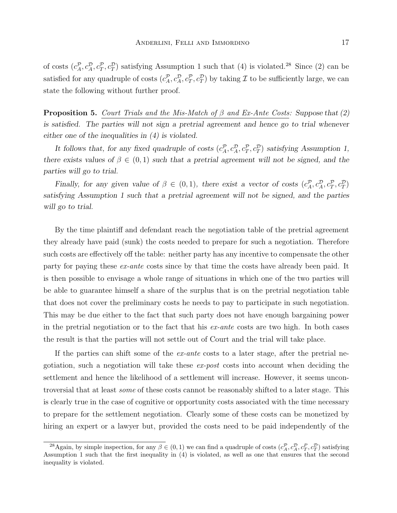of costs  $(c_A^{\mathcal{P}}, c_A^{\mathcal{P}}, c_T^{\mathcal{P}})$  satisfying Assumption 1 such that (4) is violated.<sup>28</sup> Since (2) can be satisfied for any quadruple of costs  $(c_A^{\mathcal{P}}, c_A^{\mathcal{D}}, c_T^{\mathcal{P}}, c_T^{\mathcal{D}})$  by taking  $\mathcal I$  to be sufficiently large, we can state the following without further proof.

**Proposition 5.** Court Trials and the Mis-Match of  $\beta$  and Ex-Ante Costs: Suppose that (2) is satisfied. The parties will not sign a pretrial agreement and hence go to trial whenever either one of the inequalities in (4) is violated.

It follows that, for any fixed quadruple of costs  $(c_A^{\mathcal{P}}, c_A^{\mathcal{P}}, c_T^{\mathcal{P}})$  satisfying Assumption 1, there exists values of  $\beta \in (0,1)$  such that a pretrial agreement will not be signed, and the parties will go to trial.

Finally, for any given value of  $\beta \in (0,1)$ , there exist a vector of costs  $(c_A^{\mathcal{P}}, c_A^{\mathcal{P}}, c_T^{\mathcal{P}}, c_T^{\mathcal{P}})$ satisfying Assumption 1 such that a pretrial agreement will not be signed, and the parties will go to trial.

By the time plaintiff and defendant reach the negotiation table of the pretrial agreement they already have paid (sunk) the costs needed to prepare for such a negotiation. Therefore such costs are effectively off the table: neither party has any incentive to compensate the other party for paying these ex-ante costs since by that time the costs have already been paid. It is then possible to envisage a whole range of situations in which one of the two parties will be able to guarantee himself a share of the surplus that is on the pretrial negotiation table that does not cover the preliminary costs he needs to pay to participate in such negotiation. This may be due either to the fact that such party does not have enough bargaining power in the pretrial negotiation or to the fact that his  $ex$ -ante costs are two high. In both cases the result is that the parties will not settle out of Court and the trial will take place.

If the parties can shift some of the  $ex$ -ante costs to a later stage, after the pretrial negotiation, such a negotiation will take these  $ex\text{-}post$  costs into account when deciding the settlement and hence the likelihood of a settlement will increase. However, it seems uncontroversial that at least some of these costs cannot be reasonably shifted to a later stage. This is clearly true in the case of cognitive or opportunity costs associated with the time necessary to prepare for the settlement negotiation. Clearly some of these costs can be monetized by hiring an expert or a lawyer but, provided the costs need to be paid independently of the

<sup>&</sup>lt;sup>28</sup>Again, by simple inspection, for any  $\beta \in (0,1)$  we can find a quadruple of costs  $(c_A^{\mathcal{D}}, c_A^{\mathcal{D}}, c_T^{\mathcal{D}}, c_T^{\mathcal{D}})$  satisfying Assumption 1 such that the first inequality in  $(4)$  is violated, as well as one that ensures that the second inequality is violated.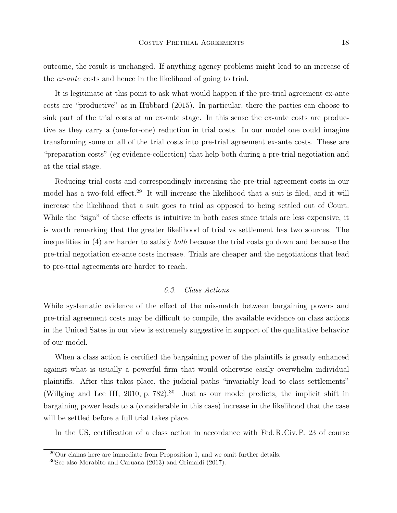outcome, the result is unchanged. If anything agency problems might lead to an increase of the ex-ante costs and hence in the likelihood of going to trial.

It is legitimate at this point to ask what would happen if the pre-trial agreement ex-ante costs are "productive" as in Hubbard (2015). In particular, there the parties can choose to sink part of the trial costs at an ex-ante stage. In this sense the ex-ante costs are productive as they carry a (one-for-one) reduction in trial costs. In our model one could imagine transforming some or all of the trial costs into pre-trial agreement ex-ante costs. These are "preparation costs" (eg evidence-collection) that help both during a pre-trial negotiation and at the trial stage.

Reducing trial costs and correspondingly increasing the pre-trial agreement costs in our model has a two-fold effect.<sup>29</sup> It will increase the likelihood that a suit is filed, and it will increase the likelihood that a suit goes to trial as opposed to being settled out of Court. While the "sign" of these effects is intuitive in both cases since trials are less expensive, it is worth remarking that the greater likelihood of trial vs settlement has two sources. The inequalities in (4) are harder to satisfy both because the trial costs go down and because the pre-trial negotiation ex-ante costs increase. Trials are cheaper and the negotiations that lead to pre-trial agreements are harder to reach.

#### 6.3. Class Actions

While systematic evidence of the effect of the mis-match between bargaining powers and pre-trial agreement costs may be difficult to compile, the available evidence on class actions in the United Sates in our view is extremely suggestive in support of the qualitative behavior of our model.

When a class action is certified the bargaining power of the plaintiffs is greatly enhanced against what is usually a powerful firm that would otherwise easily overwhelm individual plaintiffs. After this takes place, the judicial paths "invariably lead to class settlements" (Willging and Lee III, 2010, p. 782).<sup>30</sup> Just as our model predicts, the implicit shift in bargaining power leads to a (considerable in this case) increase in the likelihood that the case will be settled before a full trial takes place.

In the US, certification of a class action in accordance with Fed.R.Civ.P. 23 of course

 $^{29}$ Our claims here are immediate from Proposition 1, and we omit further details.

<sup>30</sup>See also Morabito and Caruana (2013) and Grimaldi (2017).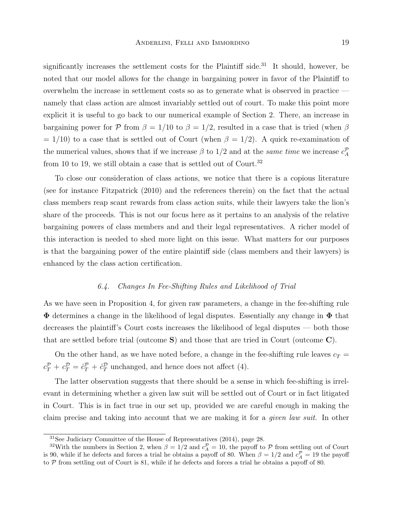significantly increases the settlement costs for the Plaintiff side.<sup>31</sup> It should, however, be noted that our model allows for the change in bargaining power in favor of the Plaintiff to overwhelm the increase in settlement costs so as to generate what is observed in practice namely that class action are almost invariably settled out of court. To make this point more explicit it is useful to go back to our numerical example of Section 2. There, an increase in bargaining power for P from  $\beta = 1/10$  to  $\beta = 1/2$ , resulted in a case that is tried (when  $\beta$  $= 1/10$ ) to a case that is settled out of Court (when  $\beta = 1/2$ ). A quick re-examination of the numerical values, shows that if we increase  $\beta$  to 1/2 and at the *same time* we increase  $c_A^{\mathcal{P}}$ from 10 to 19, we still obtain a case that is settled out of Court.<sup>32</sup>

To close our consideration of class actions, we notice that there is a copious literature (see for instance Fitzpatrick (2010) and the references therein) on the fact that the actual class members reap scant rewards from class action suits, while their lawyers take the lion's share of the proceeds. This is not our focus here as it pertains to an analysis of the relative bargaining powers of class members and and their legal representatives. A richer model of this interaction is needed to shed more light on this issue. What matters for our purposes is that the bargaining power of the entire plaintiff side (class members and their lawyers) is enhanced by the class action certification.

#### 6.4. Changes In Fee-Shifting Rules and Likelihood of Trial

As we have seen in Proposition 4, for given raw parameters, a change in the fee-shifting rule  $\Phi$  determines a change in the likelihood of legal disputes. Essentially any change in  $\Phi$  that decreases the plaintiff's Court costs increases the likelihood of legal disputes — both those that are settled before trial (outcome  $S$ ) and those that are tried in Court (outcome  $C$ ).

On the other hand, as we have noted before, a change in the fee-shifting rule leaves  $c_T =$  $c_T^{\mathcal{P}} + c_T^{\mathcal{D}} = \hat{c}_T^{\mathcal{P}} + \hat{c}_T^{\mathcal{D}}$  unchanged, and hence does not affect (4).

The latter observation suggests that there should be a sense in which fee-shifting is irrelevant in determining whether a given law suit will be settled out of Court or in fact litigated in Court. This is in fact true in our set up, provided we are careful enough in making the claim precise and taking into account that we are making it for a given law suit. In other

<sup>31</sup>See Judiciary Committee of the House of Representatives (2014), page 28.

<sup>&</sup>lt;sup>32</sup>With the numbers in Section 2, when  $\beta = 1/2$  and  $c_A^{\mathcal{P}} = 10$ , the payoff to  $\mathcal P$  from settling out of Court is 90, while if he defects and forces a trial he obtains a payoff of 80. When  $\beta = 1/2$  and  $c_A^{\mathcal{P}} = 19$  the payoff to  $P$  from settling out of Court is 81, while if he defects and forces a trial he obtains a payoff of 80.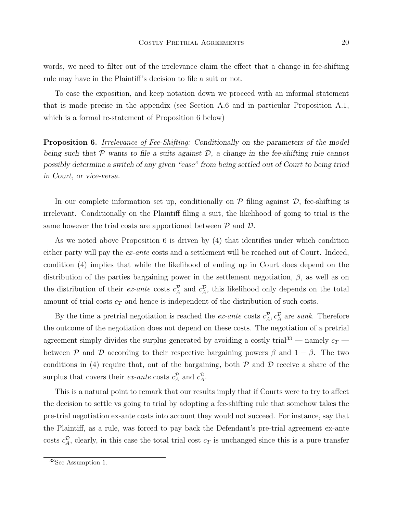words, we need to filter out of the irrelevance claim the effect that a change in fee-shifting rule may have in the Plaintiff's decision to file a suit or not.

To ease the exposition, and keep notation down we proceed with an informal statement that is made precise in the appendix (see Section A.6 and in particular Proposition A.1, which is a formal re-statement of Proposition 6 below)

Proposition 6. Irrelevance of Fee-Shifting: Conditionally on the parameters of the model being such that  $P$  wants to file a suits against  $D$ , a change in the fee-shifting rule cannot possibly determine a switch of any given "case" from being settled out of Court to being tried in Court, or vice-versa.

In our complete information set up, conditionally on  $P$  filing against  $D$ , fee-shifting is irrelevant. Conditionally on the Plaintiff filing a suit, the likelihood of going to trial is the same however the trial costs are apportioned between  $P$  and  $D$ .

As we noted above Proposition 6 is driven by (4) that identifies under which condition either party will pay the  $ex$ -ante costs and a settlement will be reached out of Court. Indeed, condition (4) implies that while the likelihood of ending up in Court does depend on the distribution of the parties bargaining power in the settlement negotiation,  $\beta$ , as well as on the distribution of their ex-ante costs  $c_A^{\mathcal{P}}$  and  $c_A^{\mathcal{D}}$ , this likelihood only depends on the total amount of trial costs  $c<sub>T</sub>$  and hence is independent of the distribution of such costs.

By the time a pretrial negotiation is reached the *ex-ante* costs  $c_A^{\mathcal{P}}, c_A^{\mathcal{D}}$  are *sunk*. Therefore the outcome of the negotiation does not depend on these costs. The negotiation of a pretrial agreement simply divides the surplus generated by avoiding a costly trial<sup>33</sup> — namely  $c_T$  between P and D according to their respective bargaining powers  $\beta$  and  $1 - \beta$ . The two conditions in (4) require that, out of the bargaining, both  $P$  and  $D$  receive a share of the surplus that covers their *ex-ante* costs  $c_A^{\mathcal{P}}$  and  $c_A^{\mathcal{D}}$ .

This is a natural point to remark that our results imply that if Courts were to try to affect the decision to settle vs going to trial by adopting a fee-shifting rule that somehow takes the pre-trial negotiation ex-ante costs into account they would not succeed. For instance, say that the Plaintiff, as a rule, was forced to pay back the Defendant's pre-trial agreement ex-ante costs  $c_A^{\mathcal{D}}$ , clearly, in this case the total trial cost  $c_T$  is unchanged since this is a pure transfer

<sup>33</sup>See Assumption 1.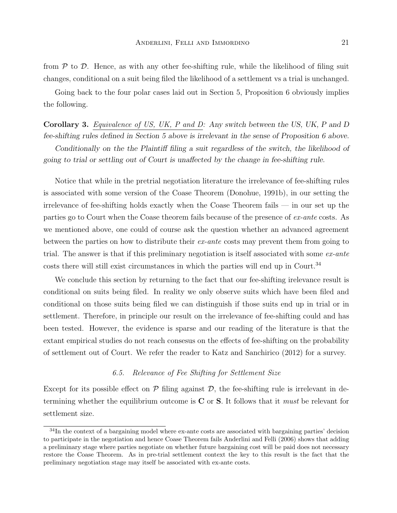from  $P$  to  $D$ . Hence, as with any other fee-shifting rule, while the likelihood of filing suit changes, conditional on a suit being filed the likelihood of a settlement vs a trial is unchanged.

Going back to the four polar cases laid out in Section 5, Proposition 6 obviously implies the following.

Corollary 3. Equivalence of US, UK, P and D: Any switch between the US, UK, P and D fee-shifting rules defined in Section 5 above is irrelevant in the sense of Proposition 6 above.

Conditionally on the the Plaintiff filing a suit regardless of the switch, the likelihood of going to trial or settling out of Court is unaffected by the change in fee-shifting rule.

Notice that while in the pretrial negotiation literature the irrelevance of fee-shifting rules is associated with some version of the Coase Theorem (Donohue, 1991b), in our setting the irrelevance of fee-shifting holds exactly when the Coase Theorem fails — in our set up the parties go to Court when the Coase theorem fails because of the presence of ex-ante costs. As we mentioned above, one could of course ask the question whether an advanced agreement between the parties on how to distribute their ex-ante costs may prevent them from going to trial. The answer is that if this preliminary negotiation is itself associated with some  $ex$ -ante  $\,$  costs there will still exist circumstances in which the parties will end up in Court.  $^{34}$ 

We conclude this section by returning to the fact that our fee-shifting irelevance result is conditional on suits being filed. In reality we only observe suits which have been filed and conditional on those suits being filed we can distinguish if those suits end up in trial or in settlement. Therefore, in principle our result on the irrelevance of fee-shifting could and has been tested. However, the evidence is sparse and our reading of the literature is that the extant empirical studies do not reach consesus on the effects of fee-shifting on the probability of settlement out of Court. We refer the reader to Katz and Sanchirico (2012) for a survey.

#### 6.5. Relevance of Fee Shifting for Settlement Size

Except for its possible effect on  $\mathcal P$  filing against  $\mathcal D$ , the fee-shifting rule is irrelevant in determining whether the equilibrium outcome is  $C$  or  $S$ . It follows that it *must* be relevant for settlement size.

<sup>34</sup>In the context of a bargaining model where ex-ante costs are associated with bargaining parties' decision to participate in the negotiation and hence Coase Theorem fails Anderlini and Felli (2006) shows that adding a preliminary stage where parties negotiate on whether future bargaining cost will be paid does not necessary restore the Coase Theorem. As in pre-trial settlement context the key to this result is the fact that the preliminary negotiation stage may itself be associated with ex-ante costs.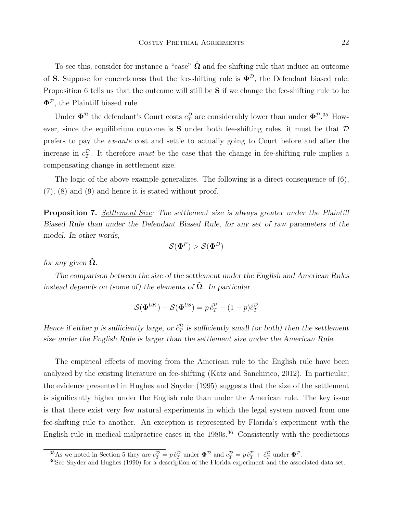To see this, consider for instance a "case"  $\hat{\Omega}$  and fee-shifting rule that induce an outcome of S. Suppose for concreteness that the fee-shifting rule is  $\Phi^{\mathcal{D}}$ , the Defendant biased rule. Proposition 6 tells us that the outcome will still be S if we change the fee-shifting rule to be  $\Phi^{\mathcal{P}}$ , the Plaintiff biased rule.

Under  $\Phi^{\mathcal{D}}$  the defendant's Court costs  $c_T^{\mathcal{D}}$  are considerably lower than under  $\Phi^{\mathcal{P}$ .<sup>35</sup> However, since the equilibrium outcome is **S** under both fee-shifting rules, it must be that  $D$ prefers to pay the ex-ante cost and settle to actually going to Court before and after the increase in  $c_T^{\mathcal{D}}$ . It therefore *must* be the case that the change in fee-shifting rule implies a compensating change in settlement size.

The logic of the above example generalizes. The following is a direct consequence of (6), (7), (8) and (9) and hence it is stated without proof.

Proposition 7. Settlement Size: The settlement size is always greater under the Plaintiff Biased Rule than under the Defendant Biased Rule, for any set of raw parameters of the model. In other words,

$$
\mathcal{S}(\mathbf{\Phi}^P) > \mathcal{S}(\mathbf{\Phi}^D)
$$

for any given  $\hat{\Omega}$ .

The comparison between the size of the settlement under the English and American Rules instead depends on (some of) the elements of  $\hat{\Omega}$ . In particular

$$
\mathcal{S}(\mathbf{\Phi}^{UK}) - \mathcal{S}(\mathbf{\Phi}^{US}) = p \,\hat{c}_T^{\mathcal{P}} - (1 - p)\hat{c}_T^{\mathcal{D}}
$$

Hence if either p is sufficiently large, or  $\hat{c}_T^{\mathcal{D}}$  is sufficiently small (or both) then the settlement size under the English Rule is larger than the settlement size under the American Rule.

The empirical effects of moving from the American rule to the English rule have been analyzed by the existing literature on fee-shifting (Katz and Sanchirico, 2012). In particular, the evidence presented in Hughes and Snyder (1995) suggests that the size of the settlement is significantly higher under the English rule than under the American rule. The key issue is that there exist very few natural experiments in which the legal system moved from one fee-shifting rule to another. An exception is represented by Florida's experiment with the English rule in medical malpractice cases in the  $1980s^{36}$  Consistently with the predictions

<sup>&</sup>lt;sup>35</sup>As we noted in Section 5 they are  $c_T^{\mathcal{D}} = p \hat{c}_T^{\mathcal{D}}$  under  $\mathbf{\Phi}^{\mathcal{D}}$  and  $c_T^{\mathcal{D}} = p \hat{c}_T^{\mathcal{P}} + \hat{c}_T^{\mathcal{D}}$  under  $\mathbf{\Phi}^{\mathcal{P}}$ .

<sup>36</sup>See Snyder and Hughes (1990) for a description of the Florida experiment and the associated data set.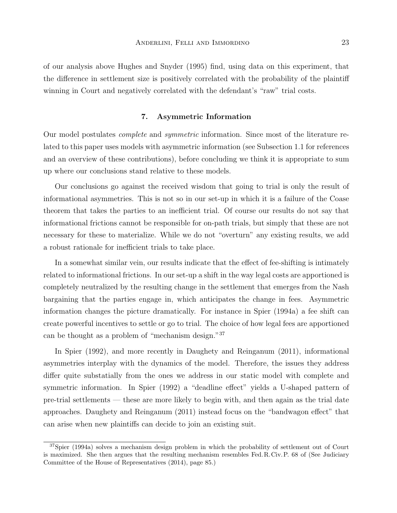of our analysis above Hughes and Snyder (1995) find, using data on this experiment, that the difference in settlement size is positively correlated with the probability of the plaintiff winning in Court and negatively correlated with the defendant's "raw" trial costs.

#### 7. Asymmetric Information

Our model postulates complete and symmetric information. Since most of the literature related to this paper uses models with asymmetric information (see Subsection 1.1 for references and an overview of these contributions), before concluding we think it is appropriate to sum up where our conclusions stand relative to these models.

Our conclusions go against the received wisdom that going to trial is only the result of informational asymmetries. This is not so in our set-up in which it is a failure of the Coase theorem that takes the parties to an inefficient trial. Of course our results do not say that informational frictions cannot be responsible for on-path trials, but simply that these are not necessary for these to materialize. While we do not "overturn" any existing results, we add a robust rationale for inefficient trials to take place.

In a somewhat similar vein, our results indicate that the effect of fee-shifting is intimately related to informational frictions. In our set-up a shift in the way legal costs are apportioned is completely neutralized by the resulting change in the settlement that emerges from the Nash bargaining that the parties engage in, which anticipates the change in fees. Asymmetric information changes the picture dramatically. For instance in Spier (1994a) a fee shift can create powerful incentives to settle or go to trial. The choice of how legal fees are apportioned can be thought as a problem of "mechanism design."<sup>37</sup>

In Spier (1992), and more recently in Daughety and Reinganum (2011), informational asymmetries interplay with the dynamics of the model. Therefore, the issues they address differ quite substatially from the ones we address in our static model with complete and symmetric information. In Spier (1992) a "deadline effect" yields a U-shaped pattern of pre-trial settlements — these are more likely to begin with, and then again as the trial date approaches. Daughety and Reinganum (2011) instead focus on the "bandwagon effect" that can arise when new plaintiffs can decide to join an existing suit.

<sup>37</sup>Spier (1994a) solves a mechanism design problem in which the probability of settlement out of Court is maximized. She then argues that the resulting mechanism resembles Fed.R.Civ.P. 68 of (See Judiciary Committee of the House of Representatives (2014), page 85.)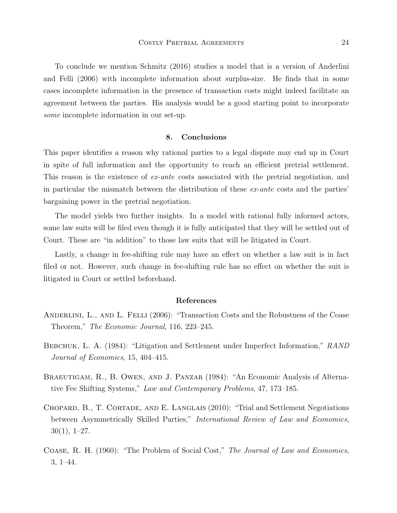To conclude we mention Schmitz (2016) studies a model that is a version of Anderlini and Felli (2006) with incomplete information about surplus-size. He finds that in some cases incomplete information in the presence of transaction costs might indeed facilitate an agreement between the parties. His analysis would be a good starting point to incorporate some incomplete information in our set-up.

#### 8. Conclusions

This paper identifies a reason why rational parties to a legal dispute may end up in Court in spite of full information and the opportunity to reach an efficient pretrial settlement. This reason is the existence of ex-ante costs associated with the pretrial negotiation, and in particular the mismatch between the distribution of these ex-ante costs and the parties' bargaining power in the pretrial negotiation.

The model yields two further insights. In a model with rational fully informed actors, some law suits will be filed even though it is fully anticipated that they will be settled out of Court. These are "in addition" to those law suits that will be litigated in Court.

Lastly, a change in fee-shifting rule may have an effect on whether a law suit is in fact filed or not. However, such change in fee-shifting rule has no effect on whether the suit is litigated in Court or settled beforehand.

#### References

- ANDERLINI, L., AND L. FELLI (2006): "Transaction Costs and the Robustness of the Coase Theorem," The Economic Journal, 116, 223–245.
- BEBCHUK, L. A. (1984): "Litigation and Settlement under Imperfect Information," RAND Journal of Economics, 15, 404–415.
- Braeutigam, R., B. Owen, and J. Panzar (1984): "An Economic Analysis of Alternative Fee Shifting Systems," Law and Contemporary Problems, 47, 173–185.
- CHOPARD, B., T. CORTADE, AND E. LANGLAIS (2010): "Trial and Settlement Negotiations between Asymmetrically Skilled Parties," International Review of Law and Economics,  $30(1), 1-27.$
- Coase, R. H. (1960): "The Problem of Social Cost," The Journal of Law and Economics, 3, 1–44.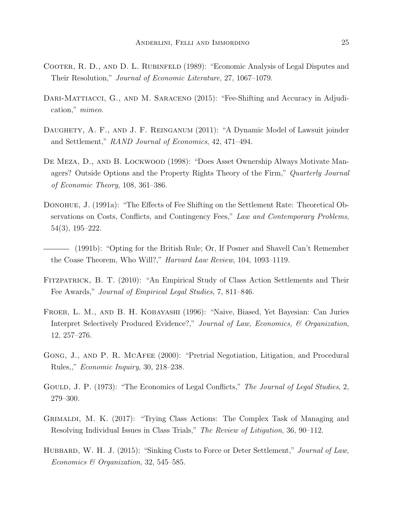- Cooter, R. D., and D. L. Rubinfeld (1989): "Economic Analysis of Legal Disputes and Their Resolution," Journal of Economic Literature, 27, 1067–1079.
- DARI-MATTIACCI, G., AND M. SARACENO (2015): "Fee-Shifting and Accuracy in Adjudication," mimeo.
- DAUGHETY, A. F., AND J. F. REINGANUM (2011): "A Dynamic Model of Lawsuit joinder and Settlement," RAND Journal of Economics, 42, 471–494.
- De Meza, D., and B. Lockwood (1998): "Does Asset Ownership Always Motivate Managers? Outside Options and the Property Rights Theory of the Firm," Quarterly Journal of Economic Theory, 108, 361–386.
- DONOHUE, J. (1991a): "The Effects of Fee Shifting on the Settlement Rate: Theoretical Observations on Costs, Conflicts, and Contingency Fees," Law and Contemporary Problems, 54(3), 195–222.
- (1991b): "Opting for the British Rule; Or, If Posner and Shavell Can't Remember the Coase Theorem, Who Will?," Harvard Law Review, 104, 1093–1119.
- Fitzpatrick, B. T. (2010): "An Empirical Study of Class Action Settlements and Their Fee Awards," Journal of Empirical Legal Studies, 7, 811–846.
- Froeb, L. M., and B. H. Kobayashi (1996): "Naive, Biased, Yet Bayesian: Can Juries Interpret Selectively Produced Evidence?," Journal of Law, Economics, & Organization, 12, 257–276.
- GONG, J., AND P. R. MCAFEE (2000): "Pretrial Negotiation, Litigation, and Procedural Rules,," Economic Inquiry, 30, 218–238.
- GOULD, J. P. (1973): "The Economics of Legal Conflicts," The Journal of Legal Studies, 2, 279–300.
- Grimaldi, M. K. (2017): "Trying Class Actions: The Complex Task of Managing and Resolving Individual Issues in Class Trials," The Review of Litigation, 36, 90–112.
- HUBBARD, W. H. J. (2015): "Sinking Costs to Force or Deter Settlement," Journal of Law, Economics & Organization, 32, 545–585.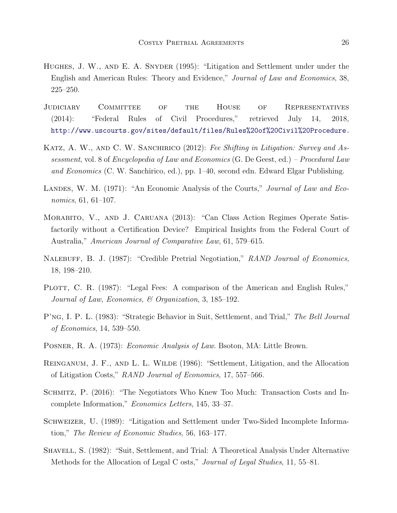- Hughes, J. W., and E. A. Snyder (1995): "Litigation and Settlement under under the English and American Rules: Theory and Evidence," Journal of Law and Economics, 38, 225–250.
- Judiciary Committee of the House of Representatives (2014): "Federal Rules of Civil Procedures," retrieved July 14, 2018, <http://www.uscourts.gov/sites/default/files/Rules%20of%20Civil%20Procedure.>
- KATZ, A. W., AND C. W. SANCHIRICO (2012): Fee Shifting in Litigation: Survey and Assessment, vol. 8 of Encyclopedia of Law and Economics (G. De Geest, ed.) – Procedural Law and Economics (C. W. Sanchirico, ed.), pp. 1–40, second edn. Edward Elgar Publishing.
- LANDES, W. M. (1971): "An Economic Analysis of the Courts," *Journal of Law and Eco*nomics, 61, 61–107.
- Morabito, V., and J. Caruana (2013): "Can Class Action Regimes Operate Satisfactorily without a Certification Device? Empirical Insights from the Federal Court of Australia," American Journal of Comparative Law, 61, 579–615.
- NALEBUFF, B. J. (1987): "Credible Pretrial Negotiation," RAND Journal of Economics, 18, 198–210.
- PLOTT, C. R. (1987): "Legal Fees: A comparison of the American and English Rules," Journal of Law, Economics, & Organization, 3, 185–192.
- P'ng, I. P. L. (1983): "Strategic Behavior in Suit, Settlement, and Trial," The Bell Journal of Economics, 14, 539–550.
- POSNER, R. A. (1973): *Economic Analysis of Law*. Bsoton, MA: Little Brown.
- Reinganum, J. F., and L. L. Wilde (1986): "Settlement, Litigation, and the Allocation of Litigation Costs," RAND Journal of Economics, 17, 557–566.
- Schmitz, P. (2016): "The Negotiators Who Knew Too Much: Transaction Costs and Incomplete Information," Economics Letters, 145, 33–37.
- Schweizer, U. (1989): "Litigation and Settlement under Two-Sided Incomplete Information," The Review of Economic Studies, 56, 163–177.
- SHAVELL, S. (1982): "Suit, Settlement, and Trial: A Theoretical Analysis Under Alternative Methods for the Allocation of Legal C osts," *Journal of Legal Studies*, 11, 55–81.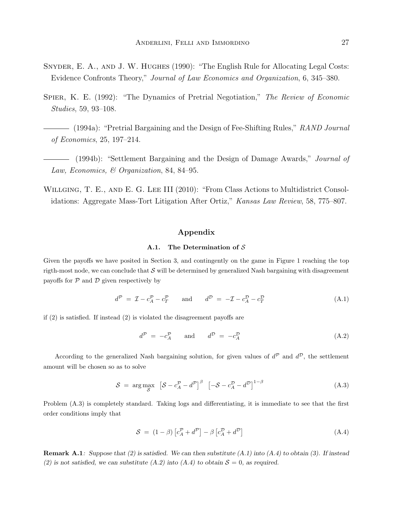- Snyder, E. A., and J. W. Hughes (1990): "The English Rule for Allocating Legal Costs: Evidence Confronts Theory," Journal of Law Economics and Organization, 6, 345–380.
- SPIER, K. E. (1992): "The Dynamics of Pretrial Negotiation," The Review of Economic Studies, 59, 93–108.
	- $-$  (1994a): "Pretrial Bargaining and the Design of Fee-Shifting Rules," RAND Journal of Economics, 25, 197–214.
- (1994b): "Settlement Bargaining and the Design of Damage Awards," *Journal of* Law, Economics, & Organization, 84, 84–95.
- WILLGING, T. E., AND E. G. LEE III (2010): "From Class Actions to Multidistrict Consolidations: Aggregate Mass-Tort Litigation After Ortiz," Kansas Law Review, 58, 775–807.

#### Appendix

#### A.1. The Determination of S

Given the payoffs we have posited in Section 3, and contingently on the game in Figure 1 reaching the top rigth-most node, we can conclude that  $S$  will be determined by generalized Nash bargaining with disagreement payoffs for  $P$  and  $D$  given respectively by

$$
d^{\mathcal{P}} = \mathcal{I} - c_A^{\mathcal{P}} - c_T^{\mathcal{P}} \qquad \text{and} \qquad d^{\mathcal{D}} = -\mathcal{I} - c_A^{\mathcal{D}} - c_T^{\mathcal{D}} \tag{A.1}
$$

if (2) is satisfied. If instead (2) is violated the disagreement payoffs are

$$
d^P = -c_A^P \qquad \text{and} \qquad d^D = -c_A^D \tag{A.2}
$$

According to the generalized Nash bargaining solution, for given values of  $d^{\mathcal{P}}$  and  $d^{\mathcal{D}}$ , the settlement amount will be chosen so as to solve

$$
S = \arg \max_{S} \left[ S - c_A^{\mathcal{P}} - d^{\mathcal{P}} \right]^{\beta} \left[ -S - c_A^{\mathcal{D}} - d^{\mathcal{D}} \right]^{1-\beta} \tag{A.3}
$$

Problem (A.3) is completely standard. Taking logs and differentiating, it is immediate to see that the first order conditions imply that

$$
S = (1 - \beta) \left[ c_A^{\mathcal{P}} + d^{\mathcal{P}} \right] - \beta \left[ c_A^{\mathcal{D}} + d^{\mathcal{D}} \right]
$$
 (A.4)

**Remark A.1**: Suppose that (2) is satisfied. We can then substitute (A.1) into (A.4) to obtain (3). If instead (2) is not satisfied, we can substitute (A.2) into (A.4) to obtain  $S = 0$ , as required.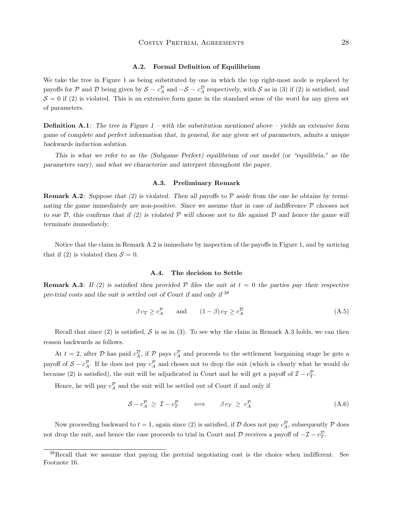#### A.2. Formal Definition of Equilibrium

We take the tree in Figure 1 as being substituted by one in which the top right-most node is replaced by payoffs for  $P$  and  $D$  being given by  $S - c_A^P$  and  $-S - c_A^D$  respectively, with  $S$  as in (3) if (2) is satisfied, and  $S = 0$  if (2) is violated. This is an extensive form game in the standard sense of the word for any given set of parameters.

**Definition A.1:** The tree in Figure  $1$  – with the substitution mentioned above – yields an extensive form game of complete and perfect information that, in general, for any given set of parameters, admits a unique backwards induction solution.

This is what we refer to as the (Subgame Perfect) equilibrium of our model (or "equilibria," as the parameters vary), and what we characterize and interpret throughout the paper.

#### A.3. Preliminary Remark

**Remark A.2:** Suppose that (2) is violated. Then all payoffs to  $P$  aside from the one he obtains by terminating the game immediately are non-positive. Since we assume that in case of indifference  $P$  chooses not to sue D, this confirms that if (2) is violated P will choose not to file against D and hence the game will terminate immediately.

Notice that the claim in Remark A.2 is immediate by inspection of the payoffs in Figure 1, and by noticing that if (2) is violated then  $S = 0$ .

#### A.4. The decision to Settle

**Remark A.3:** If (2) is satisfied then provided P files the suit at  $t = 0$  the parties pay their respective pre-trial costs and the suit is settled out of Court if and only if <sup>38</sup>

$$
\beta c_T \ge c_A^{\mathcal{P}}
$$
 and  $(1 - \beta)c_T \ge c_A^{\mathcal{D}}$  (A.5)

Recall that since (2) is satisfied, S is as in (3). To see why the claim in Remark A.3 holds, we can then reason backwards as follows.

At  $t = 2$ , after D has paid  $c_A^D$ , if P pays  $c_A^D$  and proceeds to the settlement bargaining stage he gets a payoff of  $S - c_A^{\mathcal{P}}$ . If he does not pay  $c_A^{\mathcal{P}}$  and choses not to drop the suit (which is clearly what he would do because (2) is satisfied), the suit will be adjudicated in Court and he will get a payoff of  $\mathcal{I} - c_T^{\mathcal{P}}$ .

Hence, he will pay  $c_A^{\mathcal{P}}$  and the suit will be settled out of Court if and only if

$$
S - c_A^{\mathcal{P}} \geq \mathcal{I} - c_T^{\mathcal{P}} \qquad \Longleftrightarrow \qquad \beta c_T \geq c_A^{\mathcal{P}} \tag{A.6}
$$

Now proceeding backward to  $t = 1$ , again since (2) is satisfied, if  $D$  does not pay  $c_A^D$ , subsequently  $P$  does not drop the suit, and hence the case proceeds to trial in Court and D receives a payoff of  $-\mathcal{I} - c_T^{\mathcal{D}}$ .

<sup>&</sup>lt;sup>38</sup>Recall that we assume that paying the pretrial negotiating cost is the choice when indifferent. See Footnote 16.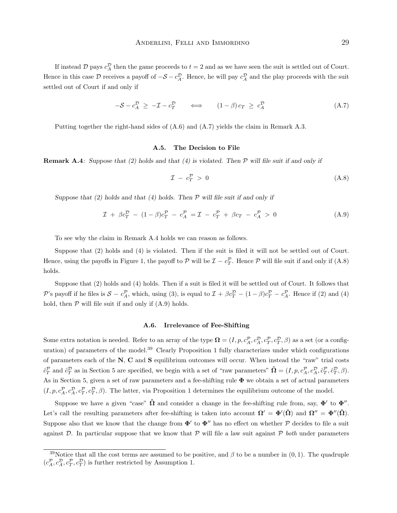If instead D pays  $c_A^D$  then the game proceeds to  $t = 2$  and as we have seen the suit is settled out of Court. Hence in this case D receives a payoff of  $-\mathcal{S} - c_A^D$ . Hence, he will pay  $c_A^D$  and the play proceeds with the suit settled out of Court if and only if

$$
-\mathcal{S} - c_A^{\mathcal{D}} \ge -\mathcal{I} - c_T^{\mathcal{D}} \qquad \Longleftrightarrow \qquad (1 - \beta) c_T \ge c_A^{\mathcal{D}} \tag{A.7}
$$

Putting together the right-hand sides of (A.6) and (A.7) yields the claim in Remark A.3.

#### A.5. The Decision to File

**Remark A.4**: Suppose that (2) holds and that (4) is violated. Then  $\mathcal P$  will file suit if and only if

$$
\mathcal{I} - c_T^{\mathcal{P}} > 0 \tag{A.8}
$$

Suppose that  $(2)$  holds and that  $(4)$  holds. Then  $\mathcal P$  will file suit if and only if

$$
\mathcal{I} + \beta c_T^{\mathcal{D}} - (1 - \beta)c_T^{\mathcal{P}} - c_A^{\mathcal{P}} = \mathcal{I} - c_T^{\mathcal{P}} + \beta c_T - c_A^{\mathcal{P}} > 0 \tag{A.9}
$$

To see why the claim in Remark A.4 holds we can reason as follows.

Suppose that (2) holds and (4) is violated. Then if the suit is filed it will not be settled out of Court. Hence, using the payoffs in Figure 1, the payoff to  $P$  will be  $\mathcal{I} - c_T^{\mathcal{P}}$ . Hence  $P$  will file suit if and only if  $(A.8)$ holds.

Suppose that (2) holds and (4) holds. Then if a suit is filed it will be settled out of Court. It follows that P's payoff if he files is  $S - c_A^P$ , which, using (3), is equal to  $\mathcal{I} + \beta c_T^D - (1 - \beta)c_T^P - c_A^P$ . Hence if (2) and (4) hold, then  $P$  will file suit if and only if  $(A.9)$  holds.

#### A.6. Irrelevance of Fee-Shifting

Some extra notation is needed. Refer to an array of the type  $\mathbf{\Omega} = (I, p, c_A^{\mathcal{P}}, c_A^{\mathcal{P}}, c_T^{\mathcal{P}}, c_T^{\mathcal{P}}, \beta)$  as a set (or a configuration) of parameters of the model.<sup>39</sup> Clearly Proposition 1 fully characterizes under which configurations of parameters each of the N, C and S equilibrium outcomes will occur. When instead the "raw" trial costs  $\hat{c}_T^{\mathcal{P}}$  and  $\hat{c}_T^{\mathcal{D}}$  as in Section 5 are specified, we begin with a set of "raw parameters"  $\hat{\mathbf{\Omega}} = (I, p, c_A^{\mathcal{P}}, c_A^{\mathcal{D}}, c_T^{\mathcal{D}}, \hat{c}_T^{\mathcal{D}}, \beta)$ . As in Section 5, given a set of raw parameters and a fee-shifting rule Φ we obtain a set of actual parameters  $(I, p, c_A^{\mathcal{P}}, c_A^{\mathcal{P}}, c_T^{\mathcal{P}}, \beta)$ . The latter, via Proposition 1 determines the equilibrium outcome of the model.

Suppose we have a given "case"  $\hat{\Omega}$  and consider a change in the fee-shifting rule from, say,  $\Phi'$  to  $\Phi''$ . Let's call the resulting parameters after fee-shifting is taken into account  $\mathbf{\Omega}' = \mathbf{\Phi}'(\hat{\mathbf{\Omega}})$  and  $\mathbf{\Omega}'' = \mathbf{\Phi}''(\hat{\mathbf{\Omega}})$ . Suppose also that we know that the change from  $\Phi'$  to  $\Phi''$  has no effect on whether P decides to file a suit against  $D$ . In particular suppose that we know that  $P$  will file a law suit against  $P$  both under parameters

<sup>&</sup>lt;sup>39</sup>Notice that all the cost terms are assumed to be positive, and  $\beta$  to be a number in (0, 1). The quadruple  $(c_A^{\mathcal{P}}, c_A^{\mathcal{P}}, c_T^{\mathcal{P}}, c_T^{\mathcal{D}})$  is further restricted by Assumption 1.